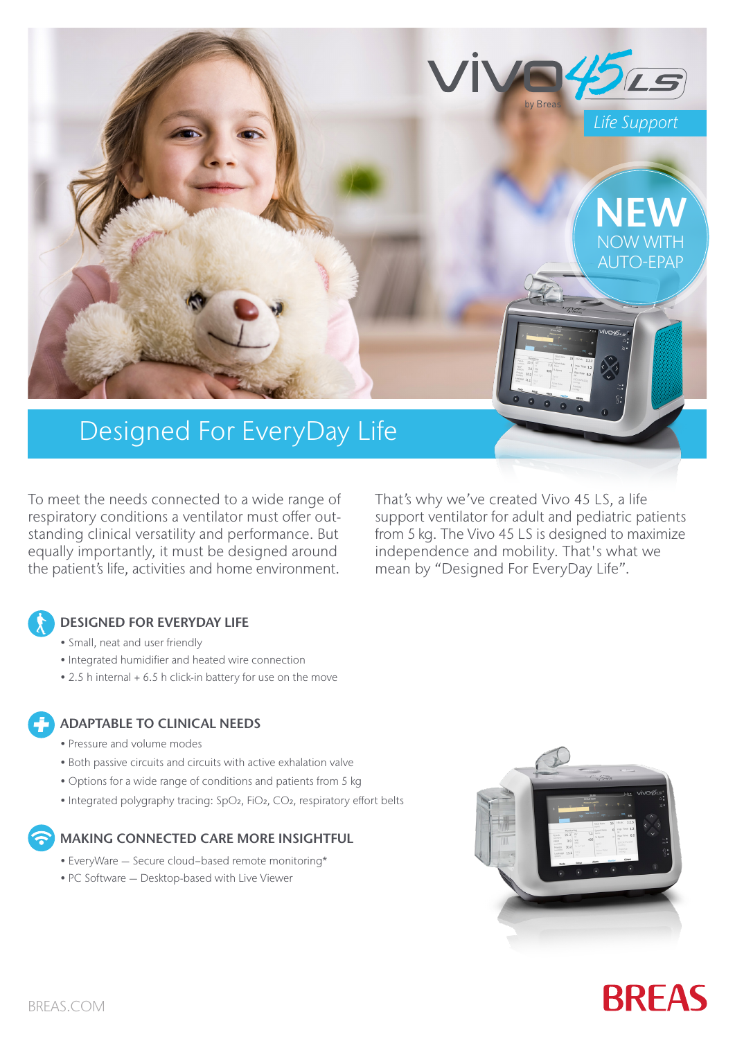

# Designed For EveryDay Life

To meet the needs connected to a wide range of respiratory conditions a ventilator must offer outstanding clinical versatility and performance. But equally importantly, it must be designed around the patient's life, activities and home environment.

That's why we've created Vivo 45 LS, a life support ventilator for adult and pediatric patients from 5 kg. The Vivo 45 LS is designed to maximize independence and mobility. That's what we mean by "Designed For EveryDay Life".

## DESIGNED FOR EVERYDAY LIFE

- Small, neat and user friendly
- Integrated humidifier and heated wire connection
- 2.5 h internal + 6.5 h click-in battery for use on the move

### ADAPTABLE TO CLINICAL NEEDS

- Pressure and volume modes
- Both passive circuits and circuits with active exhalation valve
- Options for a wide range of conditions and patients from 5 kg
- Integrated polygraphy tracing: SpO<sub>2</sub>, FiO<sub>2</sub>, CO<sub>2</sub>, respiratory effort belts

## MAKING CONNECTED CARE MORE INSIGHTFUL

- EveryWare Secure cloud−based remote monitoring\*
- PC Software Desktop-based with Live Viewer



# **BREAS**